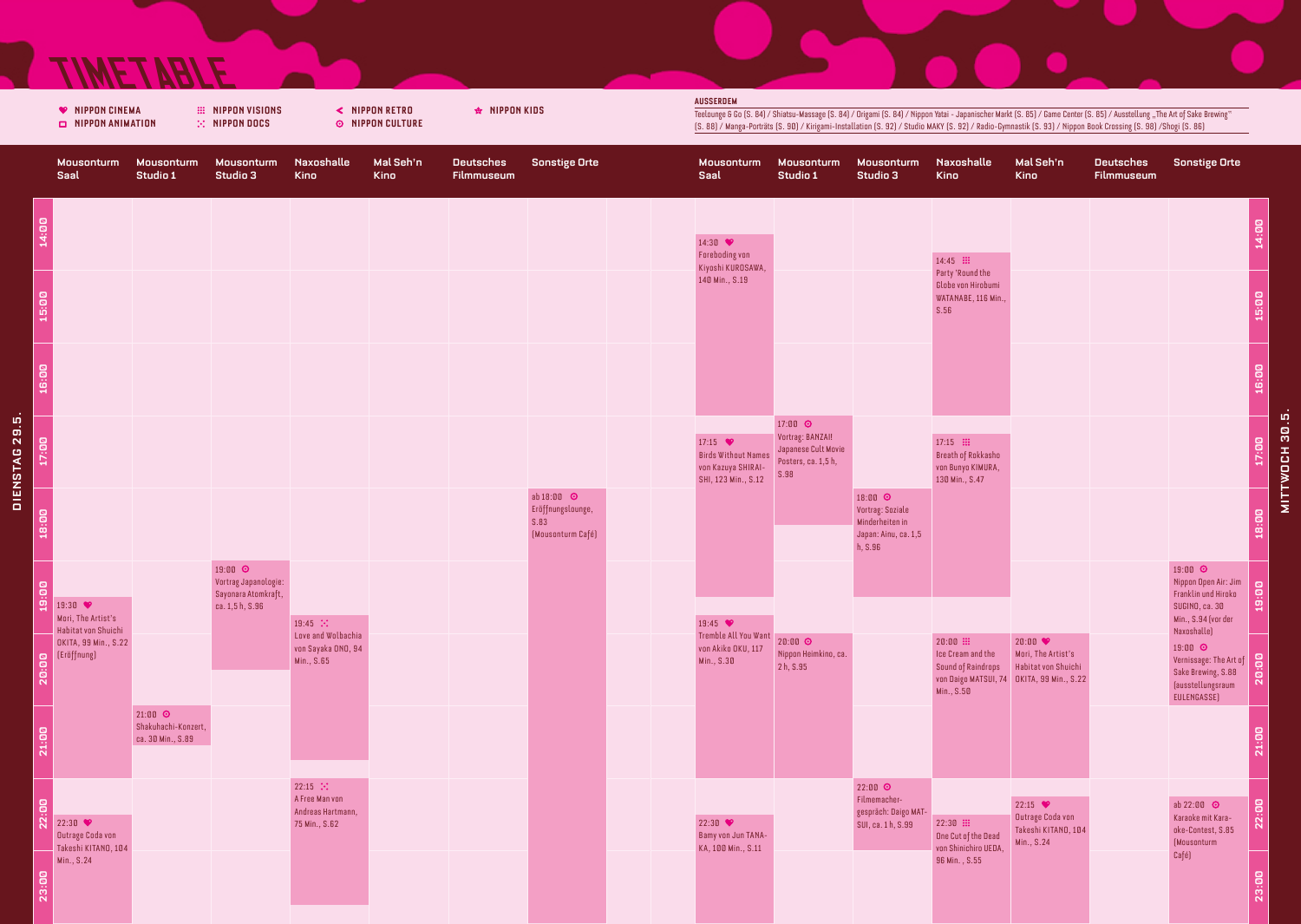## **TIMETABLE**

**College** 

a kara

|                |                                                                                                             |                                          |                                                                           |                                                                          |                          |                                       | <b>AUSSERDEM</b>                                                                                                                                                                                                                                                                                                                              |                                                                   |                                                          |                                                         |                                                                           |                                                    |                                       |                                                                                                        |                                              |  |
|----------------|-------------------------------------------------------------------------------------------------------------|------------------------------------------|---------------------------------------------------------------------------|--------------------------------------------------------------------------|--------------------------|---------------------------------------|-----------------------------------------------------------------------------------------------------------------------------------------------------------------------------------------------------------------------------------------------------------------------------------------------------------------------------------------------|-------------------------------------------------------------------|----------------------------------------------------------|---------------------------------------------------------|---------------------------------------------------------------------------|----------------------------------------------------|---------------------------------------|--------------------------------------------------------------------------------------------------------|----------------------------------------------|--|
|                | <b>♥ NIPPON CINEMA</b><br><b>III NIPPON VISIONS</b><br>$\mathbb{R}$ -NIPPON DOCS<br><b>NIPPON ANIMATION</b> |                                          | < NIPPON RETRO<br><b>© NIPPON CULTURE</b>                                 |                                                                          | <b>☆ NIPPON KIDS</b>     |                                       | Teelounge & Go (S. 84) / Shiatsu-Massage (S. 84) / Origami (S. 84) / Nippon Yatai - Japanischer Markt (S. 85) / Game Center (S. 85) / Ausstellung "The Art of Sake Brewing"<br>[S. 88] / Manga-Porträts [S. 90] / Kirigami-Installation [S. 92] / Studio MAKY [S. 92] / Radio-Gymnastik [S. 93] / Nippon Book Crossing [S. 98] /Shogi [S. 86] |                                                                   |                                                          |                                                         |                                                                           |                                                    |                                       |                                                                                                        |                                              |  |
|                | Mousonturm<br>Saal                                                                                          | Mousonturm<br>Studio 1                   | Mousonturm<br>Studio 3                                                    | Naxoshalle<br><b>Kino</b>                                                | Mal Seh'n<br><b>Kino</b> | <b>Deutsches</b><br><b>Filmmuseum</b> | <b>Sonstige Orte</b>                                                                                                                                                                                                                                                                                                                          | Mousonturm<br>Saal                                                | Mousonturm<br>Studio 1                                   | Mousonturm<br>Studio 3                                  | Naxoshalle<br>Kino                                                        | Mal Seh'n<br><b>Kino</b>                           | <b>Deutsches</b><br><b>Filmmuseum</b> | <b>Sonstige Orte</b>                                                                                   |                                              |  |
|                | 14:00                                                                                                       |                                          |                                                                           |                                                                          |                          |                                       |                                                                                                                                                                                                                                                                                                                                               | 14:30 $\bullet$                                                   |                                                          |                                                         |                                                                           |                                                    |                                       |                                                                                                        | 14:00                                        |  |
|                |                                                                                                             |                                          |                                                                           |                                                                          |                          |                                       |                                                                                                                                                                                                                                                                                                                                               | <b>Foreboding von</b><br>Kiyoshi KUROSAWA,<br>140 Min., S.19      |                                                          |                                                         | $14:45$ :<br>Party 'Round the<br>Globe von Hirobumi<br>WATANABE, 116 Min. |                                                    |                                       |                                                                                                        |                                              |  |
|                | 15:00                                                                                                       |                                          |                                                                           |                                                                          |                          |                                       |                                                                                                                                                                                                                                                                                                                                               |                                                                   |                                                          |                                                         | S.56                                                                      |                                                    |                                       |                                                                                                        | 15:00                                        |  |
|                | 16:00                                                                                                       |                                          |                                                                           |                                                                          |                          |                                       |                                                                                                                                                                                                                                                                                                                                               |                                                                   |                                                          |                                                         |                                                                           |                                                    |                                       |                                                                                                        | 16:00                                        |  |
|                | 17:00                                                                                                       |                                          |                                                                           |                                                                          |                          |                                       |                                                                                                                                                                                                                                                                                                                                               | 17:15 $\bullet$<br><b>Birds Without Names</b>                     | 17:00 $\odot$<br>Vortrag: BANZAI!<br>Japanese Cult Movie |                                                         | $17:15$ :<br>Breath of Rokkasho                                           |                                                    |                                       |                                                                                                        | J,<br>$\overline{a}$<br>$\overline{a}$<br>Ë. |  |
| DIENSTAG 29.5. |                                                                                                             |                                          |                                                                           |                                                                          |                          |                                       | ab 18:00 ©<br>Eröffnungslounge,                                                                                                                                                                                                                                                                                                               | von Kazuya SHIRAI-<br>SHI, 123 Min., S.12                         | Posters, ca. 1,5 h,<br>S.98                              | 18:00 $\odot$<br>Vortrag: Soziale                       | von Bunyo KIMURA,<br>130 Min., S.47                                       |                                                    |                                       |                                                                                                        | <b>WOCH</b><br>i<br>İ                        |  |
|                | 18:00                                                                                                       |                                          |                                                                           |                                                                          |                          |                                       | S.83<br>(Mousonturm Café)                                                                                                                                                                                                                                                                                                                     |                                                                   |                                                          | Minderheiten in<br>Japan: Ainu, ca. 1,5<br>h, S.96      |                                                                           |                                                    |                                       |                                                                                                        | 18:00                                        |  |
|                | $\overline{a}$<br>亶<br>19:30 ♥                                                                              |                                          | 19:00 0<br>Vortrag Japanologie:<br>Sayonara Atomkraft,<br>ca. 1,5 h, S.96 |                                                                          |                          |                                       |                                                                                                                                                                                                                                                                                                                                               |                                                                   |                                                          |                                                         |                                                                           |                                                    |                                       | 19:00 0<br>Nippon Open Air: Jim<br>Franklin und Hiroko<br>SUGINO, ca. 30                               | 19:00                                        |  |
|                | Mori, The Artist's<br>Habitat von Shuichi<br>OKITA, 99 Min., S.22                                           |                                          |                                                                           | 19:45 $\ddots$<br>Love and Wolbachia<br>von Sayaka ONO, 94<br>Min., S.65 |                          |                                       |                                                                                                                                                                                                                                                                                                                                               | 19:45<br>Tremble All You Want<br>von Akiko OKU, 117<br>Min., S.30 | 20:00 ⊙<br>Nippon Heimkino, ca.<br>2h, S.95              |                                                         | $20:00$ :<br>Ice Cream and the                                            | 20:00<br>Mori, The Artist's<br>Habitat von Shuichi |                                       | Min., S.94 (vor der<br>Naxoshalle)<br>19:00 0                                                          |                                              |  |
|                | <b>B</b><br>B<br>R<br>R                                                                                     | $21:00$ $\odot$                          |                                                                           |                                                                          |                          |                                       |                                                                                                                                                                                                                                                                                                                                               |                                                                   |                                                          |                                                         | Sound of Raindrops<br>Min., S.50                                          | von Daigo MATSUI, 74 OKITA, 99 Min., S.22          |                                       | Vernissage: The Art of<br>Sake Brewing, S.88<br>Causstell ungsraum<br>(ausstellungsraum<br>EULENGASSE) |                                              |  |
|                | 21:00                                                                                                       | Shakuhachi-Konzert,<br>ca. 30 Min., S.89 |                                                                           |                                                                          |                          |                                       |                                                                                                                                                                                                                                                                                                                                               |                                                                   |                                                          |                                                         |                                                                           |                                                    |                                       |                                                                                                        | 21:00                                        |  |
|                | $\mathbf{g}$<br>$\ddot{N}$ 22:30                                                                            |                                          |                                                                           | $22:15$ $\ddots$<br>A Free Man von<br>Andreas Hartmann,<br>75 Min., S.62 |                          |                                       |                                                                                                                                                                                                                                                                                                                                               | 22:30 $\bullet$                                                   |                                                          | $22:00$ $\odot$<br>Filmemacher-<br>gespräch: Daigo MAT- | $22:30$ :                                                                 | 22:15<br>Outrage Coda von                          |                                       | ab $22:00$ $\odot$<br>Karaoke mit Kara-                                                                | $\overline{\mathbf{g}}$<br>$\overline{22}$   |  |
|                | <b>Outrage Coda von</b><br>Takeshi KITANO, 104<br>Min., S.24                                                |                                          |                                                                           |                                                                          |                          |                                       |                                                                                                                                                                                                                                                                                                                                               | Bamy von Jun TANA-<br>KA, 100 Min., S.11                          |                                                          | SUI, ca. 1 h, S.99                                      | One Cut of the Dead<br>von Shinichiro UEDA,<br>96 Min., S.55              | Takeshi KITANO, 104<br>Min., S.24                  |                                       | oke-Contest, S.85<br>(Mousonturm<br>Café)                                                              |                                              |  |
|                | 23:00                                                                                                       |                                          |                                                                           |                                                                          |                          |                                       |                                                                                                                                                                                                                                                                                                                                               |                                                                   |                                                          |                                                         |                                                                           |                                                    |                                       |                                                                                                        | 23:00                                        |  |

Mousonturm Saal Mousonturm Studio 1 Mousonturm Studio 3 Naxoshalle

Sonstige Orte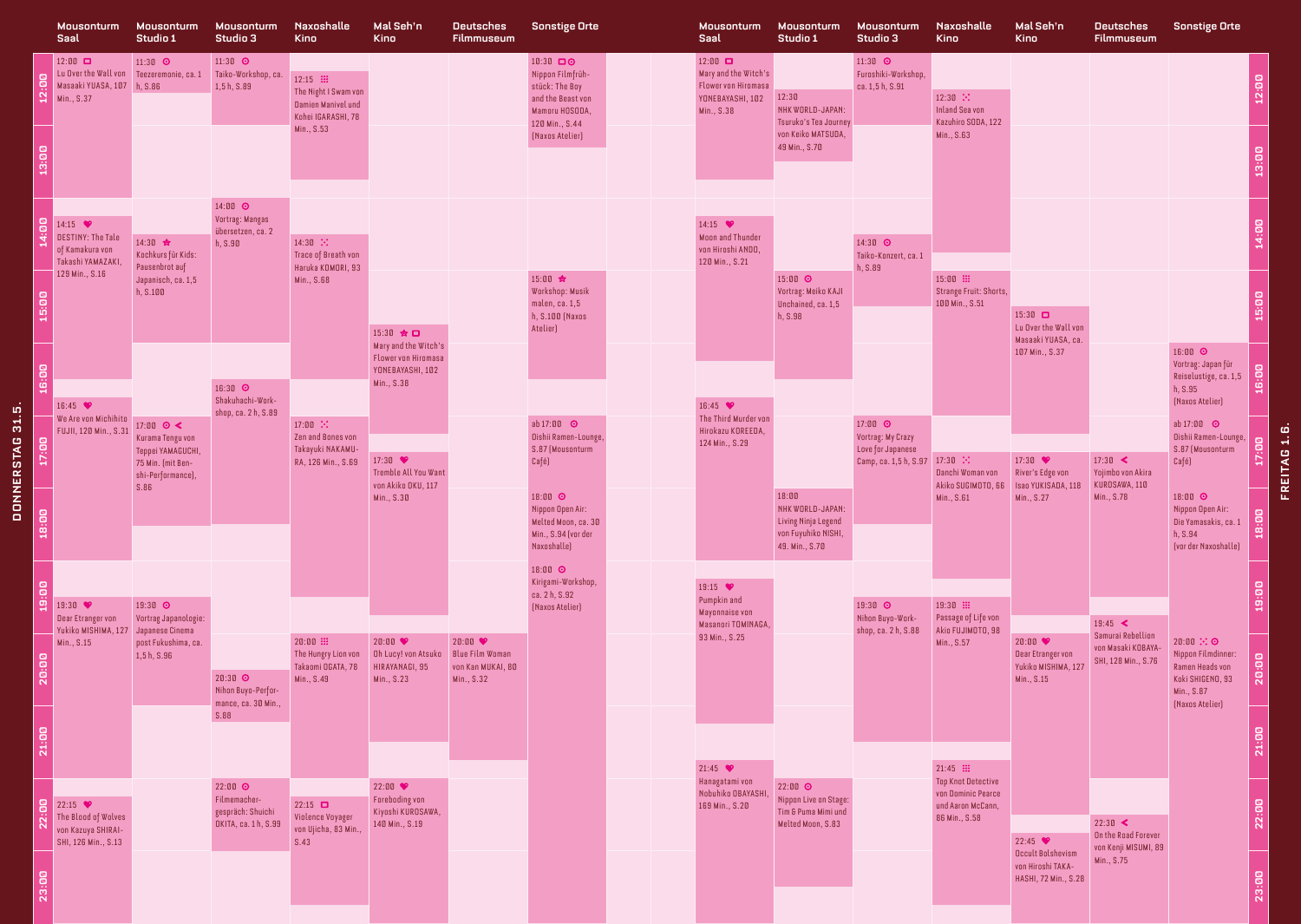|                  |                                                | Mousonturm<br>Saal                                                                                     | Mousonturm<br>Studio 1                                                                                                                                         | Mousonturm<br>Studio 3                                                          | Naxoshalle<br><b>Kino</b>                                                                   | Mal Seh'n<br><b>Kino</b>                                              | <b>Deutsches</b><br><b>Filmmuseum</b>                                          | <b>Sonstige Orte</b>                                                                                                       |                                                                      | Mousonturm<br>Saal                                                                              | Mousonturm<br>Studio 1                                                                    | Mousonturm<br>Studio 3                                  | Naxoshalle<br><b>Kino</b>                                              | Mal Seh'n<br>Kino                                                              | <b>Deutsches</b><br>Filmmuseum                                            | <b>Sonstige Orte</b>                                                                                    |                                |  |
|------------------|------------------------------------------------|--------------------------------------------------------------------------------------------------------|----------------------------------------------------------------------------------------------------------------------------------------------------------------|---------------------------------------------------------------------------------|---------------------------------------------------------------------------------------------|-----------------------------------------------------------------------|--------------------------------------------------------------------------------|----------------------------------------------------------------------------------------------------------------------------|----------------------------------------------------------------------|-------------------------------------------------------------------------------------------------|-------------------------------------------------------------------------------------------|---------------------------------------------------------|------------------------------------------------------------------------|--------------------------------------------------------------------------------|---------------------------------------------------------------------------|---------------------------------------------------------------------------------------------------------|--------------------------------|--|
|                  | $\overline{a}$<br>$\ddot{\mathbf{a}}$<br>13:00 | $12:00$ $\Box$<br>Lu Over the Wall von Teezeremonie, ca. 1<br>Masaaki YUASA, 107 h, S.86<br>Min., S.37 | 11:30 $\odot$                                                                                                                                                  | $11:30$ $\odot$<br>Taiko-Workshop, ca.<br>1,5h, S.89                            | $12:15$ :<br>The Night I Swam von<br>Damien Manivel und<br>Kohei IGARASHI, 78<br>Min., S.53 |                                                                       |                                                                                | 10:30 00<br>Nippon Filmfrüh-<br>stück: The Boy<br>and the Beast von<br>Mamoru HOSODA,<br>120 Min., S.44<br>[Naxos Atelier] |                                                                      | $12:00$ $\Box$<br>Mary and the Witch's<br>Flower von Hiromasa<br>YONEBAYASHI, 102<br>Min., S.38 | 12:30<br>NHK WORLD-JAPAN:<br>Tsuruko's Tea Journey<br>von Keiko MATSUDA.<br>49 Min., S.70 | 11:30 $\odot$<br>Furoshiki-Workshop,<br>ca. 1,5 h, S.91 | $12:30$ $\ddots$<br>Inland Sea von<br>Kazuhiro SODA, 122<br>Min., S.63 |                                                                                |                                                                           |                                                                                                         | $\mathbf{g}$<br>ë<br>13:00     |  |
| DONNERSTAG 31.5. | $\mathbf{g}$                                   | 14:15 $\bullet$                                                                                        |                                                                                                                                                                | 14:00 0<br>Vortrag: Mangas                                                      |                                                                                             |                                                                       |                                                                                |                                                                                                                            |                                                                      | 14:15 $\bullet$                                                                                 |                                                                                           |                                                         |                                                                        |                                                                                |                                                                           |                                                                                                         |                                |  |
|                  |                                                | DESTINY: The Tale<br>of Kamakura von<br>Takashi YAMAZAKI,<br>129 Min., S.16                            | 14:30 ☆<br>Kochkurs für Kids:<br>Pausenbrot auf<br>Japanisch, ca. 1,5                                                                                          | übersetzen, ca. 2<br>h, S.90                                                    | $14:30$ $\ddots$<br>Trace of Breath von<br>Haruka KOMORI, 93<br>Min., S.68                  |                                                                       |                                                                                | 15:00 ☆                                                                                                                    |                                                                      | <b>Moon and Thunder</b><br>von Hiroshi ANDO,<br>120 Min., S.21                                  | 15:00 $\odot$                                                                             | 14:30 0<br>Taiko-Konzert, ca. 1<br>h, S.89              | 15:00 .                                                                |                                                                                |                                                                           |                                                                                                         | 14:00                          |  |
|                  | 15:00                                          |                                                                                                        | h, S.100                                                                                                                                                       |                                                                                 |                                                                                             | 15:30 ☆ロ<br>Mary and the Witch's                                      |                                                                                | Workshop: Musik<br>malen, ca. 1,5<br>h, S.100 (Naxos<br>Atelier)                                                           |                                                                      |                                                                                                 | Vortrag: Meiko KAJI<br>Unchained, ca. 1,5<br>h, S.98                                      |                                                         | Strange Fruit: Shorts,<br>100 Min., S.51                               | $15:30$ $\Box$<br>Lu Over the Wall von<br>Masaaki YUASA, ca.<br>107 Min., S.37 |                                                                           | 16:00 0                                                                                                 | $\overline{a}$<br>剪            |  |
|                  | 16:00                                          | 16:45<br>We Are von Michihito                                                                          | 16:30 0<br>Shakuhachi-Work-<br>shop, ca. 2 h, S.89<br>17:00 $\odot$ <<br>Kurama Tengu von<br>Teppei YAMAGUCHI<br>75 Min. (mit Ben-<br>shi-Performance)<br>S.86 |                                                                                 | Flower von Hiromasa<br>YONEBAYASHI, 102<br>Min., S.38                                       |                                                                       |                                                                                |                                                                                                                            | 16:45<br>The Third Murder von<br>Hirokazu KOREEDA.<br>124 Min., S.29 | 17:00 0<br>18:00                                                                                |                                                                                           |                                                         |                                                                        |                                                                                | Vortrag: Japan für<br>Reiselustige, ca. 1,5<br>h, S.95<br>[Naxos Atelier] | 16:00                                                                                                   |                                |  |
|                  | 17:00                                          | FUJII, 120 Min., S.31                                                                                  |                                                                                                                                                                | $17:00$ $\ddots$<br>Zen and Bones von<br>Takayuki NAKAMU-<br>RA, 126 Min., S.69 | 17:30<br><b>Tremble All You Want</b><br>von Akiko OKU, 117<br>Min., S.30                    |                                                                       | $ab 17:00$ $Q$<br>Oishii Ramen-Lounge,<br>S.87 (Mousonturm<br>Café)<br>18:00 0 |                                                                                                                            |                                                                      |                                                                                                 | Vortrag: My Crazy<br>Love for Japanese<br>Camp, ca. 1,5 h, S.97 17:30 $\therefore$        | Danchi Woman von<br>Akiko SUGIMOTO, 66<br>Min., S.61    | 17:30<br>River's Edge von<br>Isao YUKISADA, 118<br>Min., S.27          | $17:30 \leq$<br>Yojimbo von Akira<br>KUROSAWA, 110<br>Min., S.78               | $ab 17:00$ $Q$<br>Oishii Ramen-Lounge,<br>S.87 (Mousonturm<br>Café)       | $\mathbf{g}$<br>Ë,                                                                                      | <b>FREITAG 1.6</b>             |  |
|                  | 18:00                                          |                                                                                                        |                                                                                                                                                                |                                                                                 |                                                                                             |                                                                       |                                                                                | Nippon Open Air:<br>Melted Moon, ca. 30<br>Min., S.94 (vor der<br>Naxoshalle)                                              |                                                                      |                                                                                                 | NHK WORLD-JAPAN:<br>Living Ninja Legend<br>von Fuyuhiko NISHI,<br>49. Min., S.70          |                                                         |                                                                        |                                                                                |                                                                           | 18:00 0<br>Nippon Open Air:<br>Die Yamasakis, ca. 1<br>h, S.94<br>(vor der Naxoshalle)                  | 18:00                          |  |
|                  | $\mathbf{g}$<br>亶                              | 19:30 ♥<br>Dear Etranger von<br>Yukiko MISHIMA, 127 Japanese Cinema                                    | 19:30 0<br>Vortrag Japanologie:                                                                                                                                |                                                                                 |                                                                                             |                                                                       |                                                                                | 18:00 0<br>Kirigami-Workshop,<br>ca. 2 h, S.92<br>[Naxos Atelier]                                                          |                                                                      | 19:15 $\bullet$<br>Pumpkin and<br>Mayonnaise von<br>Masanori TOMINAGA.                          |                                                                                           | 19:30 0<br>Nihon Buyo-Work-<br>shop, ca. 2 h, S.88      | 19:30 :<br>Passage of Life von<br>Akio FUJIMOTO, 98                    |                                                                                | $19:45$ <<br>Samurai Rebellion                                            |                                                                                                         | 19:00                          |  |
|                  | 20:00                                          | Min., S.15                                                                                             | post Fukushima, ca.<br>1, 5 h, S.96                                                                                                                            | $20:30$ $\odot$<br>Nihon Buyo-Perfor-<br>mance, ca. 30 Min.,                    | 20:00 ::<br>Takaomi OGATA, 78<br>Min., S.49                                                 | 20:00<br>HIRAYANAGI, 95<br>Min., S.23                                 | 20:00<br>von Kan MUKAI, 80<br>Min., S.32                                       |                                                                                                                            |                                                                      | 93 Min., S.25                                                                                   |                                                                                           |                                                         | Min., S.57                                                             | 20:00<br>Dear Etranger von<br>Yukiko MISHIMA, 127<br>Min., S.15                | von Masaki KOBAYA-<br>SHI, 128 Min., S.76                                 | 20:00 ∴ ⊙<br>Nippon Filmdinner:<br>Ramen Heads von<br>Koki SHIGENO, 93<br>Min., S.87<br>[Naxos Atelier] | $\mathbf{g}$<br>$\overline{a}$ |  |
|                  | 21:00                                          |                                                                                                        |                                                                                                                                                                | S.88                                                                            |                                                                                             |                                                                       |                                                                                |                                                                                                                            |                                                                      | 21:45<br>Hanagatami von                                                                         |                                                                                           |                                                         | $21:45$ :<br><b>Top Knot Detective</b>                                 |                                                                                |                                                                           |                                                                                                         | 21:00                          |  |
|                  | $\mathbf{g}$                                   | 22:15<br>The Blood of Wolves<br>von Kazuya SHIRAI-<br>SHI, 126 Min., S.13                              |                                                                                                                                                                | $22:00$ $\odot$<br>Filmemacher-<br>gespräch: Shuichi<br>OKITA, ca. 1 h, S.99    | $22:15$ $\Box$<br>Violence Voyager<br>von Ujicha, 83 Min.,<br>S.43                          | 22:00<br><b>Foreboding von</b><br>Kiyoshi KUROSAWA.<br>140 Min., S.19 |                                                                                |                                                                                                                            |                                                                      | Nobuhiko OBAYASHI<br>169 Min., S.20                                                             | $22:00$ $\odot$<br>Nippon Live on Stage:<br>Tim & Puma Mimi und<br>Melted Moon, S.83      |                                                         | von Dominic Pearce<br>und Aaron McCann,<br>86 Min., S.58               | 22:45                                                                          | $22:30$ <<br>On the Road Forever                                          |                                                                                                         | $\overline{a}$<br>$\ddot{a}$   |  |
|                  | 23:00                                          |                                                                                                        |                                                                                                                                                                |                                                                                 |                                                                                             |                                                                       |                                                                                |                                                                                                                            |                                                                      |                                                                                                 |                                                                                           |                                                         |                                                                        | Occult Bolshevism<br>von Hiroshi TAKA-<br>HASHI, 72 Min., S.28                 | von Kenji MISUMI, 89<br>Min., S.75                                        |                                                                                                         | 23:00                          |  |